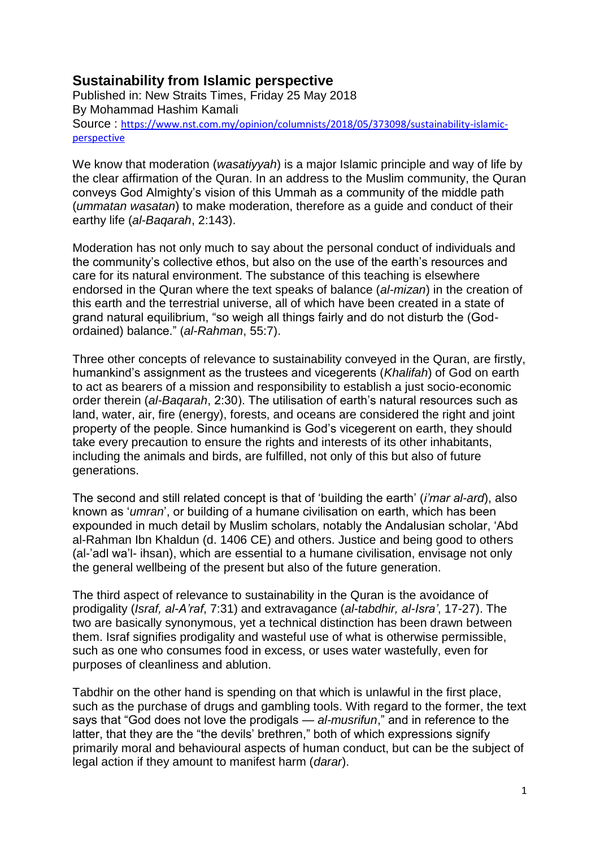## **Sustainability from Islamic perspective**

Published in: New Straits Times, Friday 25 May 2018 By Mohammad Hashim Kamali Source : [https://www.nst.com.my/opinion/columnists/2018/05/373098/sustainability-islamic](https://www.nst.com.my/opinion/columnists/2018/05/373098/sustainability-islamic-perspective)[perspective](https://www.nst.com.my/opinion/columnists/2018/05/373098/sustainability-islamic-perspective)

We know that moderation (*wasatiyyah*) is a major Islamic principle and way of life by the clear affirmation of the Quran. In an address to the Muslim community, the Quran conveys God Almighty's vision of this Ummah as a community of the middle path (*ummatan wasatan*) to make moderation, therefore as a guide and conduct of their earthy life (*al-Baqarah*, 2:143).

Moderation has not only much to say about the personal conduct of individuals and the community's collective ethos, but also on the use of the earth's resources and care for its natural environment. The substance of this teaching is elsewhere endorsed in the Quran where the text speaks of balance (*al-mizan*) in the creation of this earth and the terrestrial universe, all of which have been created in a state of grand natural equilibrium, "so weigh all things fairly and do not disturb the (Godordained) balance." (*al-Rahman*, 55:7).

Three other concepts of relevance to sustainability conveyed in the Quran, are firstly, humankind's assignment as the trustees and vicegerents (*Khalifah*) of God on earth to act as bearers of a mission and responsibility to establish a just socio-economic order therein (*al-Baqarah*, 2:30). The utilisation of earth's natural resources such as land, water, air, fire (energy), forests, and oceans are considered the right and joint property of the people. Since humankind is God's vicegerent on earth, they should take every precaution to ensure the rights and interests of its other inhabitants, including the animals and birds, are fulfilled, not only of this but also of future generations.

The second and still related concept is that of 'building the earth' (*i'mar al-ard*), also known as '*umran*', or building of a humane civilisation on earth, which has been expounded in much detail by Muslim scholars, notably the Andalusian scholar, 'Abd al-Rahman Ibn Khaldun (d. 1406 CE) and others. Justice and being good to others (al-'adl wa'l- ihsan), which are essential to a humane civilisation, envisage not only the general wellbeing of the present but also of the future generation.

The third aspect of relevance to sustainability in the Quran is the avoidance of prodigality (*Israf, al-A'raf*, 7:31) and extravagance (*al-tabdhir, al-Isra'*, 17-27). The two are basically synonymous, yet a technical distinction has been drawn between them. Israf signifies prodigality and wasteful use of what is otherwise permissible, such as one who consumes food in excess, or uses water wastefully, even for purposes of cleanliness and ablution.

Tabdhir on the other hand is spending on that which is unlawful in the first place, such as the purchase of drugs and gambling tools. With regard to the former, the text says that "God does not love the prodigals — *al-musrifun*," and in reference to the latter, that they are the "the devils' brethren," both of which expressions signify primarily moral and behavioural aspects of human conduct, but can be the subject of legal action if they amount to manifest harm (*darar*).